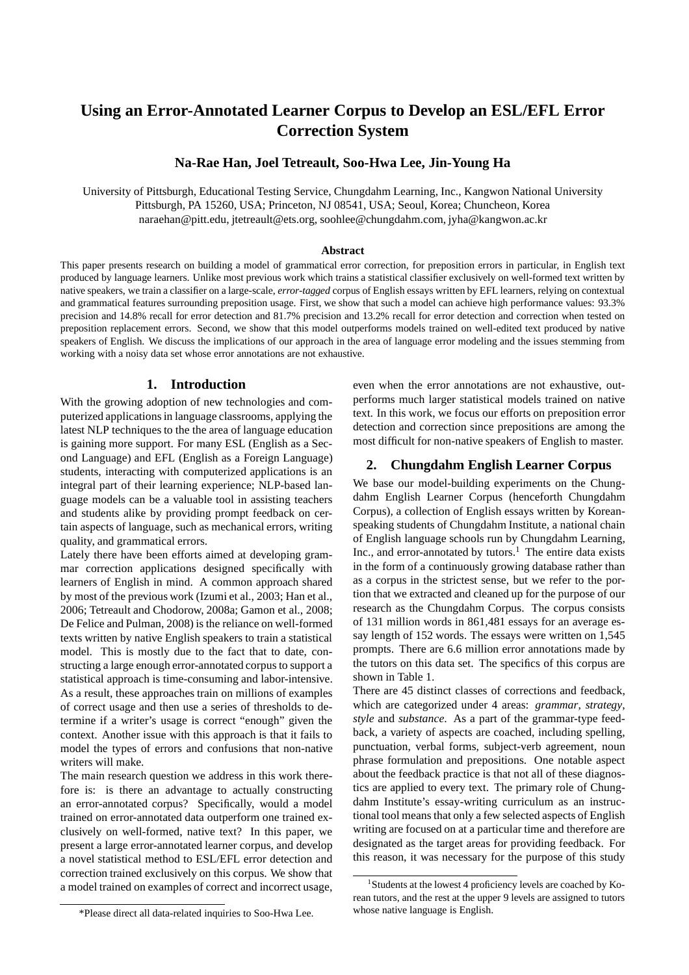# **Using an Error-Annotated Learner Corpus to Develop an ESL/EFL Error Correction System**

# **Na-Rae Han, Joel Tetreault, Soo-Hwa Lee, Jin-Young Ha**

University of Pittsburgh, Educational Testing Service, Chungdahm Learning, Inc., Kangwon National University Pittsburgh, PA 15260, USA; Princeton, NJ 08541, USA; Seoul, Korea; Chuncheon, Korea naraehan@pitt.edu, jtetreault@ets.org, soohlee@chungdahm.com, jyha@kangwon.ac.kr

#### **Abstract**

This paper presents research on building a model of grammatical error correction, for preposition errors in particular, in English text produced by language learners. Unlike most previous work which trains a statistical classifier exclusively on well-formed text written by native speakers, we train a classifier on a large-scale, *error-tagged* corpus of English essays written by EFL learners, relying on contextual and grammatical features surrounding preposition usage. First, we show that such a model can achieve high performance values: 93.3% precision and 14.8% recall for error detection and 81.7% precision and 13.2% recall for error detection and correction when tested on preposition replacement errors. Second, we show that this model outperforms models trained on well-edited text produced by native speakers of English. We discuss the implications of our approach in the area of language error modeling and the issues stemming from working with a noisy data set whose error annotations are not exhaustive.

#### **1. Introduction**

With the growing adoption of new technologies and computerized applications in language classrooms, applying the latest NLP techniques to the the area of language education is gaining more support. For many ESL (English as a Second Language) and EFL (English as a Foreign Language) students, interacting with computerized applications is an integral part of their learning experience; NLP-based language models can be a valuable tool in assisting teachers and students alike by providing prompt feedback on certain aspects of language, such as mechanical errors, writing quality, and grammatical errors.

Lately there have been efforts aimed at developing grammar correction applications designed specifically with learners of English in mind. A common approach shared by most of the previous work (Izumi et al., 2003; Han et al., 2006; Tetreault and Chodorow, 2008a; Gamon et al., 2008; De Felice and Pulman, 2008) is the reliance on well-formed texts written by native English speakers to train a statistical model. This is mostly due to the fact that to date, constructing a large enough error-annotated corpus to support a statistical approach is time-consuming and labor-intensive. As a result, these approaches train on millions of examples of correct usage and then use a series of thresholds to determine if a writer's usage is correct "enough" given the context. Another issue with this approach is that it fails to model the types of errors and confusions that non-native writers will make.

The main research question we address in this work therefore is: is there an advantage to actually constructing an error-annotated corpus? Specifically, would a model trained on error-annotated data outperform one trained exclusively on well-formed, native text? In this paper, we present a large error-annotated learner corpus, and develop a novel statistical method to ESL/EFL error detection and correction trained exclusively on this corpus. We show that a model trained on examples of correct and incorrect usage, even when the error annotations are not exhaustive, outperforms much larger statistical models trained on native text. In this work, we focus our efforts on preposition error detection and correction since prepositions are among the most difficult for non-native speakers of English to master.

# **2. Chungdahm English Learner Corpus**

We base our model-building experiments on the Chungdahm English Learner Corpus (henceforth Chungdahm Corpus), a collection of English essays written by Koreanspeaking students of Chungdahm Institute, a national chain of English language schools run by Chungdahm Learning, Inc., and error-annotated by tutors.<sup>1</sup> The entire data exists in the form of a continuously growing database rather than as a corpus in the strictest sense, but we refer to the portion that we extracted and cleaned up for the purpose of our research as the Chungdahm Corpus. The corpus consists of 131 million words in 861,481 essays for an average essay length of 152 words. The essays were written on 1,545 prompts. There are 6.6 million error annotations made by the tutors on this data set. The specifics of this corpus are shown in Table 1.

There are 45 distinct classes of corrections and feedback, which are categorized under 4 areas: *grammar*, *strategy*, *style* and *substance*. As a part of the grammar-type feedback, a variety of aspects are coached, including spelling, punctuation, verbal forms, subject-verb agreement, noun phrase formulation and prepositions. One notable aspect about the feedback practice is that not all of these diagnostics are applied to every text. The primary role of Chungdahm Institute's essay-writing curriculum as an instructional tool means that only a few selected aspects of English writing are focused on at a particular time and therefore are designated as the target areas for providing feedback. For this reason, it was necessary for the purpose of this study

<sup>&</sup>lt;sup>1</sup> Students at the lowest 4 proficiency levels are coached by Korean tutors, and the rest at the upper 9 levels are assigned to tutors whose native language is English.

<sup>\*</sup>Please direct all data-related inquiries to Soo-Hwa Lee.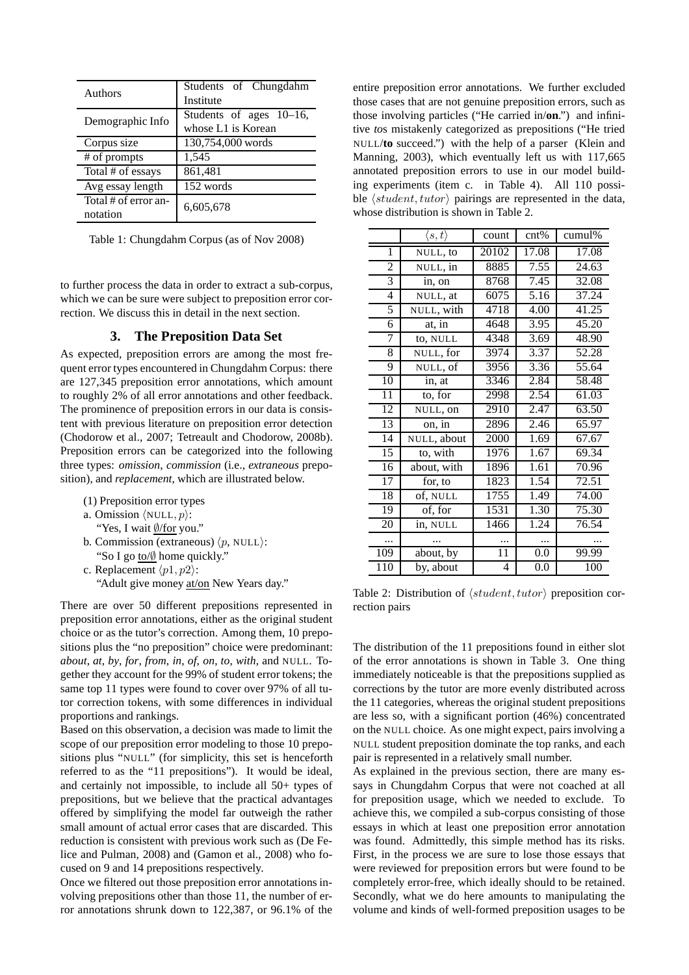| Authors                          | Students of Chungdahm<br>Institute               |  |  |  |  |
|----------------------------------|--------------------------------------------------|--|--|--|--|
| Demographic Info                 | Students of ages $10-16$ ,<br>whose L1 is Korean |  |  |  |  |
| Corpus size                      | 130,754,000 words                                |  |  |  |  |
| # of prompts                     | 1,545                                            |  |  |  |  |
| Total # of essays                | 861,481                                          |  |  |  |  |
| Avg essay length                 | 152 words                                        |  |  |  |  |
| Total # of error an-<br>notation | 6,605,678                                        |  |  |  |  |

Table 1: Chungdahm Corpus (as of Nov 2008)

to further process the data in order to extract a sub-corpus, which we can be sure were subject to preposition error correction. We discuss this in detail in the next section.

# **3. The Preposition Data Set**

As expected, preposition errors are among the most frequent error types encountered in Chungdahm Corpus: there are 127,345 preposition error annotations, which amount to roughly 2% of all error annotations and other feedback. The prominence of preposition errors in our data is consistent with previous literature on preposition error detection (Chodorow et al., 2007; Tetreault and Chodorow, 2008b). Preposition errors can be categorized into the following three types: *omission*, *commission* (i.e., *extraneous* preposition), and *replacement*, which are illustrated below.

- (1) Preposition error types
- a. Omission  $\langle \text{NULL}, p \rangle$ :

"Yes, I wait ∅/for you."

- b. Commission (extraneous)  $\langle p, \text{NULL}\rangle$ : "So I go to/∅ home quickly."
- c. Replacement  $\langle p1, p2 \rangle$ : "Adult give money at/on New Years day."

There are over 50 different prepositions represented in preposition error annotations, either as the original student choice or as the tutor's correction. Among them, 10 prepositions plus the "no preposition" choice were predominant: *about*, *at*, *by*, *for*, *from*, *in*, *of*, *on*, *to*, *with*, and NULL. Together they account for the 99% of student error tokens; the same top 11 types were found to cover over 97% of all tutor correction tokens, with some differences in individual proportions and rankings.

Based on this observation, a decision was made to limit the scope of our preposition error modeling to those 10 prepositions plus "NULL" (for simplicity, this set is henceforth referred to as the "11 prepositions"). It would be ideal, and certainly not impossible, to include all 50+ types of prepositions, but we believe that the practical advantages offered by simplifying the model far outweigh the rather small amount of actual error cases that are discarded. This reduction is consistent with previous work such as (De Felice and Pulman, 2008) and (Gamon et al., 2008) who focused on 9 and 14 prepositions respectively.

Once we filtered out those preposition error annotations involving prepositions other than those 11, the number of error annotations shrunk down to 122,387, or 96.1% of the entire preposition error annotations. We further excluded those cases that are not genuine preposition errors, such as those involving particles ("He carried in/**on**.") and infinitive *to*s mistakenly categorized as prepositions ("He tried NULL/**to** succeed.") with the help of a parser (Klein and Manning, 2003), which eventually left us with 117,665 annotated preposition errors to use in our model building experiments (item c. in Table 4). All 110 possible  $\langle student, tutor \rangle$  pairings are represented in the data, whose distribution is shown in Table 2.

|                 | $\langle s,t\rangle$ | count | cnt%              | cumul% |
|-----------------|----------------------|-------|-------------------|--------|
| 1               | NULL, to             | 20102 | 17.08             | 17.08  |
| 2               | NULL, in             | 8885  | $\overline{7.55}$ | 24.63  |
| 3               | in, on               | 8768  | 7.45              | 32.08  |
| $\overline{4}$  | NULL, at             | 6075  | 5.16              | 37.24  |
| 5               | NULL, with           | 4718  | 4.00              | 41.25  |
| 6               | at, in               | 4648  | 3.95              | 45.20  |
| 7               | to, NULL             | 4348  | 3.69              | 48.90  |
| $\overline{8}$  | NULL, for            | 3974  | 3.37              | 52.28  |
| $\overline{9}$  | NULL, of             | 3956  | 3.36              | 55.64  |
| 10              | in, at               | 3346  | 2.84              | 58.48  |
| $\overline{11}$ | to, for              | 2998  | 2.54              | 61.03  |
| 12              | NULL, on             | 2910  | 2.47              | 63.50  |
| 13              | on, in               | 2896  | 2.46              | 65.97  |
| 14              | NULL, about          | 2000  | 1.69              | 67.67  |
| $\overline{15}$ | to, with             | 1976  | $\overline{1.67}$ | 69.34  |
| 16              | about, with          | 1896  | 1.61              | 70.96  |
| 17              | for, to              | 1823  | 1.54              | 72.51  |
| $\overline{18}$ | of, NULL             | 1755  | 1.49              | 74.00  |
| $\overline{19}$ | of, for              | 1531  | 1.30              | 75.30  |
| 20              | in, NULL             | 1466  | 1.24              | 76.54  |
|                 |                      | .     |                   |        |
| 109             | about, by            | 11    | 0.0               | 99.99  |
| 110             | by, about            | 4     | 0.0               | 100    |

Table 2: Distribution of  $\langle student, tutor \rangle$  preposition correction pairs

The distribution of the 11 prepositions found in either slot of the error annotations is shown in Table 3. One thing immediately noticeable is that the prepositions supplied as corrections by the tutor are more evenly distributed across the 11 categories, whereas the original student prepositions are less so, with a significant portion (46%) concentrated on the NULL choice. As one might expect, pairs involving a NULL student preposition dominate the top ranks, and each pair is represented in a relatively small number.

As explained in the previous section, there are many essays in Chungdahm Corpus that were not coached at all for preposition usage, which we needed to exclude. To achieve this, we compiled a sub-corpus consisting of those essays in which at least one preposition error annotation was found. Admittedly, this simple method has its risks. First, in the process we are sure to lose those essays that were reviewed for preposition errors but were found to be completely error-free, which ideally should to be retained. Secondly, what we do here amounts to manipulating the volume and kinds of well-formed preposition usages to be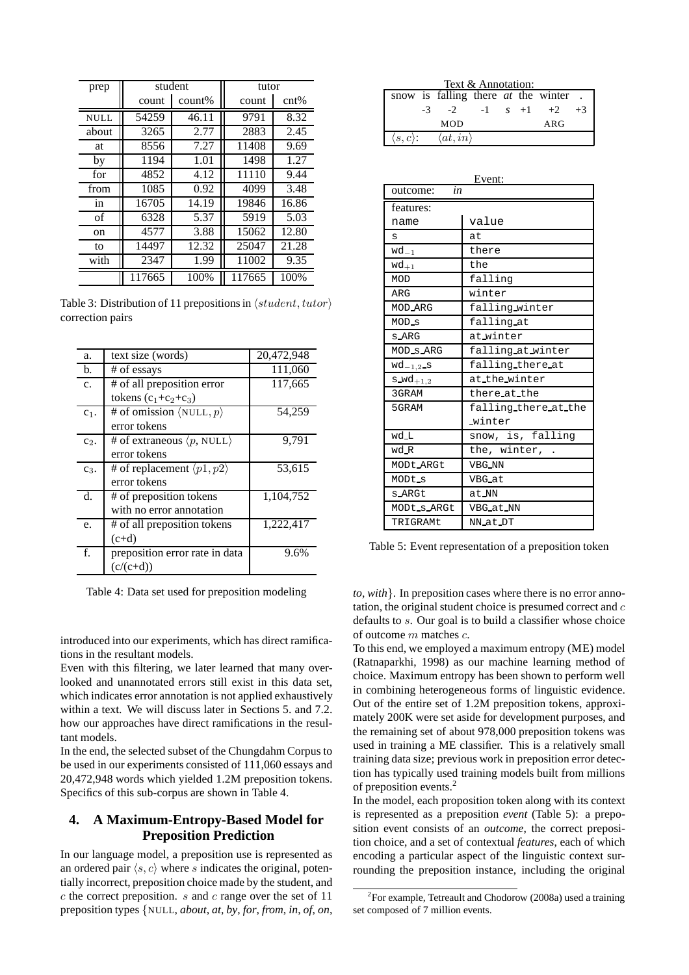| prep          | student      |        | tutor  |       |
|---------------|--------------|--------|--------|-------|
|               | count        | count% | count  | cnt%  |
| <b>NULL</b>   | 54259        | 46.11  | 9791   | 8.32  |
| about         | 3265         | 2.77   | 2883   | 2.45  |
| at            | 8556         | 7.27   | 11408  | 9.69  |
| by            | 1194         | 1.01   | 1498   | 1.27  |
| for           | 4852         | 4.12   | 11110  | 9.44  |
| from          | 1085         | 0.92   | 4099   | 3.48  |
| in            | 16705        | 14.19  | 19846  | 16.86 |
| of            | 6328         | 5.37   | 5919   | 5.03  |
| <sub>on</sub> | 4577         | 3.88   | 15062  | 12.80 |
| to            | 14497        | 12.32  | 25047  | 21.28 |
| with          | 1.99<br>2347 |        | 11002  | 9.35  |
|               | 117665       | 100%   | 117665 | 100%  |

Table 3: Distribution of 11 prepositions in  $\langle student, tutor \rangle$ correction pairs

| a.             | text size (words)                                | 20,472,948 |
|----------------|--------------------------------------------------|------------|
| b.             | # of essays                                      | 111,060    |
| $\mathbf{c}$ . | # of all preposition error                       | 117,665    |
|                | tokens $(c_1+c_2+c_3)$                           |            |
| $c_1$ .        | # of omission $\langle \text{NULL}, p \rangle$   | 54,259     |
|                | error tokens                                     |            |
| $c_2$ .        | # of extraneous $\langle p, \text{NULL} \rangle$ | 9,791      |
|                | error tokens                                     |            |
| $c_3$ .        | # of replacement $\langle p1, p2 \rangle$        | 53,615     |
|                | error tokens                                     |            |
| $d_{\cdot}$    | # of preposition tokens                          | 1,104,752  |
|                | with no error annotation                         |            |
| e.             | # of all preposition tokens                      | 1,222,417  |
|                | $(c+d)$                                          |            |
| f.             | preposition error rate in data                   | 9.6%       |
|                | $(c/(c+d))$                                      |            |

Table 4: Data set used for preposition modeling

introduced into our experiments, which has direct ramifications in the resultant models.

Even with this filtering, we later learned that many overlooked and unannotated errors still exist in this data set, which indicates error annotation is not applied exhaustively within a text. We will discuss later in Sections 5. and 7.2. how our approaches have direct ramifications in the resultant models.

In the end, the selected subset of the Chungdahm Corpus to be used in our experiments consisted of 111,060 essays and 20,472,948 words which yielded 1.2M preposition tokens. Specifics of this sub-corpus are shown in Table 4.

# **4. A Maximum-Entropy-Based Model for Preposition Prediction**

In our language model, a preposition use is represented as an ordered pair  $\langle s, c \rangle$  where s indicates the original, potentially incorrect, preposition choice made by the student, and  $c$  the correct preposition.  $s$  and  $c$  range over the set of 11 preposition types {NULL, *about*, *at*, *by*, *for*, *from*, *in*, *of*, *on*,

| Text & Annotation:                                  |     |      |  |  |  |                  |      |
|-----------------------------------------------------|-----|------|--|--|--|------------------|------|
| snow is falling there <i>at</i> the winter.         |     |      |  |  |  |                  |      |
|                                                     | -3. | $-2$ |  |  |  | $-1$ s $+1$ $+2$ | $+3$ |
| <b>MOD</b><br>ARG                                   |     |      |  |  |  |                  |      |
| $\langle at, in \rangle$<br>$\langle s,c \rangle$ : |     |      |  |  |  |                  |      |

| Event:          |                      |  |  |  |  |
|-----------------|----------------------|--|--|--|--|
| in<br>outcome:  |                      |  |  |  |  |
| features:       |                      |  |  |  |  |
| name            | value                |  |  |  |  |
| S               | at.                  |  |  |  |  |
| $wd_{-1}$       | there                |  |  |  |  |
| $wd_{+1}$       | the                  |  |  |  |  |
| MOD             | falling              |  |  |  |  |
| ARG             | winter               |  |  |  |  |
| MOD_ARG         | falling_winter       |  |  |  |  |
| MOD_s           | falling at           |  |  |  |  |
| s_ARG           | at_winter            |  |  |  |  |
| MOD_s_ARG       | falling at winter    |  |  |  |  |
| $wd_{-1,2}$ _s  | falling_there_at     |  |  |  |  |
| $s$ $wd_{+1,2}$ | at_the_winter        |  |  |  |  |
| 3GRAM           | there_at_the         |  |  |  |  |
| 5GRAM           | falling there at the |  |  |  |  |
|                 | _winter              |  |  |  |  |
| wd L            | snow, is, falling    |  |  |  |  |
| wd R            | the, winter,         |  |  |  |  |
| MODt_ARGt       | <b>VBG_NN</b>        |  |  |  |  |
| MODt_s          | <b>VBG_at</b>        |  |  |  |  |
| s_ARGt          | at NN                |  |  |  |  |
| MODt_s_ARGt     | VBG_at_NN            |  |  |  |  |
| TRIGRAMt        | NN_at_DT             |  |  |  |  |

Table 5: Event representation of a preposition token

*to*, *with*}. In preposition cases where there is no error annotation, the original student choice is presumed correct and c defaults to s. Our goal is to build a classifier whose choice of outcome m matches c.

To this end, we employed a maximum entropy (ME) model (Ratnaparkhi, 1998) as our machine learning method of choice. Maximum entropy has been shown to perform well in combining heterogeneous forms of linguistic evidence. Out of the entire set of 1.2M preposition tokens, approximately 200K were set aside for development purposes, and the remaining set of about 978,000 preposition tokens was used in training a ME classifier. This is a relatively small training data size; previous work in preposition error detection has typically used training models built from millions of preposition events.<sup>2</sup>

In the model, each proposition token along with its context is represented as a preposition *event* (Table 5): a preposition event consists of an *outcome*, the correct preposition choice, and a set of contextual *features*, each of which encoding a particular aspect of the linguistic context surrounding the preposition instance, including the original

<sup>&</sup>lt;sup>2</sup> For example, Tetreault and Chodorow (2008a) used a training set composed of 7 million events.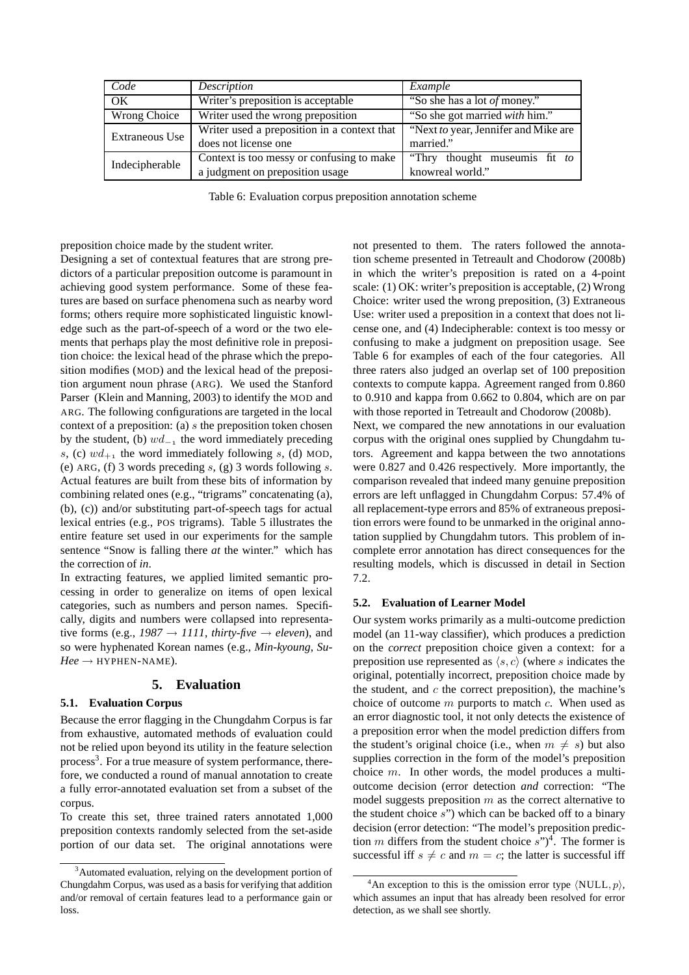| Code                                                                                  | Description                                                                  | Example                                            |  |  |
|---------------------------------------------------------------------------------------|------------------------------------------------------------------------------|----------------------------------------------------|--|--|
| $\alpha$                                                                              | Writer's preposition is acceptable                                           | "So she has a lot of money."                       |  |  |
| Wrong Choice                                                                          | Writer used the wrong preposition                                            | "So she got married with him."                     |  |  |
| Writer used a preposition in a context that<br>Extraneous Use<br>does not license one |                                                                              | "Next to year, Jennifer and Mike are<br>married."  |  |  |
| Indecipherable                                                                        | Context is too messy or confusing to make<br>a judgment on preposition usage | "Thry thought museum is fit to<br>knowreal world." |  |  |

Table 6: Evaluation corpus preposition annotation scheme

preposition choice made by the student writer.

Designing a set of contextual features that are strong predictors of a particular preposition outcome is paramount in achieving good system performance. Some of these features are based on surface phenomena such as nearby word forms; others require more sophisticated linguistic knowledge such as the part-of-speech of a word or the two elements that perhaps play the most definitive role in preposition choice: the lexical head of the phrase which the preposition modifies (MOD) and the lexical head of the preposition argument noun phrase (ARG). We used the Stanford Parser (Klein and Manning, 2003) to identify the MOD and ARG. The following configurations are targeted in the local context of a preposition: (a) s the preposition token chosen by the student, (b)  $wd_{-1}$  the word immediately preceding s, (c)  $wd_{+1}$  the word immediately following s, (d) MOD, (e) ARG, (f) 3 words preceding s, (g) 3 words following s. Actual features are built from these bits of information by combining related ones (e.g., "trigrams" concatenating (a), (b), (c)) and/or substituting part-of-speech tags for actual lexical entries (e.g., POS trigrams). Table 5 illustrates the entire feature set used in our experiments for the sample sentence "Snow is falling there *at* the winter." which has the correction of *in*.

In extracting features, we applied limited semantic processing in order to generalize on items of open lexical categories, such as numbers and person names. Specifically, digits and numbers were collapsed into representative forms (e.g.,  $1987 \rightarrow 1111$ , *thirty-five*  $\rightarrow$  *eleven*), and so were hyphenated Korean names (e.g., *Min-kyoung*, *Su-* $Hee \rightarrow$  HYPHEN-NAME).

# **5. Evaluation**

### **5.1. Evaluation Corpus**

Because the error flagging in the Chungdahm Corpus is far from exhaustive, automated methods of evaluation could not be relied upon beyond its utility in the feature selection process<sup>3</sup>. For a true measure of system performance, therefore, we conducted a round of manual annotation to create a fully error-annotated evaluation set from a subset of the corpus.

To create this set, three trained raters annotated 1,000 preposition contexts randomly selected from the set-aside portion of our data set. The original annotations were

not presented to them. The raters followed the annotation scheme presented in Tetreault and Chodorow (2008b) in which the writer's preposition is rated on a 4-point scale: (1) OK: writer's preposition is acceptable, (2) Wrong Choice: writer used the wrong preposition, (3) Extraneous Use: writer used a preposition in a context that does not license one, and (4) Indecipherable: context is too messy or confusing to make a judgment on preposition usage. See Table 6 for examples of each of the four categories. All three raters also judged an overlap set of 100 preposition contexts to compute kappa. Agreement ranged from 0.860 to 0.910 and kappa from 0.662 to 0.804, which are on par with those reported in Tetreault and Chodorow (2008b). Next, we compared the new annotations in our evaluation corpus with the original ones supplied by Chungdahm tutors. Agreement and kappa between the two annotations were 0.827 and 0.426 respectively. More importantly, the comparison revealed that indeed many genuine preposition errors are left unflagged in Chungdahm Corpus: 57.4% of all replacement-type errors and 85% of extraneous preposition errors were found to be unmarked in the original annotation supplied by Chungdahm tutors. This problem of incomplete error annotation has direct consequences for the resulting models, which is discussed in detail in Section 7.2.

#### **5.2. Evaluation of Learner Model**

Our system works primarily as a multi-outcome prediction model (an 11-way classifier), which produces a prediction on the *correct* preposition choice given a context: for a preposition use represented as  $\langle s, c \rangle$  (where s indicates the original, potentially incorrect, preposition choice made by the student, and  $c$  the correct preposition), the machine's choice of outcome  $m$  purports to match  $c$ . When used as an error diagnostic tool, it not only detects the existence of a preposition error when the model prediction differs from the student's original choice (i.e., when  $m \neq s$ ) but also supplies correction in the form of the model's preposition choice  $m$ . In other words, the model produces a multioutcome decision (error detection *and* correction: "The model suggests preposition  $m$  as the correct alternative to the student choice  $s$ ") which can be backed off to a binary decision (error detection: "The model's preposition prediction m differs from the student choice  $s$ ")<sup>4</sup>. The former is successful iff  $s \neq c$  and  $m = c$ ; the latter is successful iff

 $3A$ utomated evaluation, relying on the development portion of Chungdahm Corpus, was used as a basis for verifying that addition and/or removal of certain features lead to a performance gain or loss.

<sup>&</sup>lt;sup>4</sup>An exception to this is the omission error type  $\langle \text{NULL}, p \rangle$ , which assumes an input that has already been resolved for error detection, as we shall see shortly.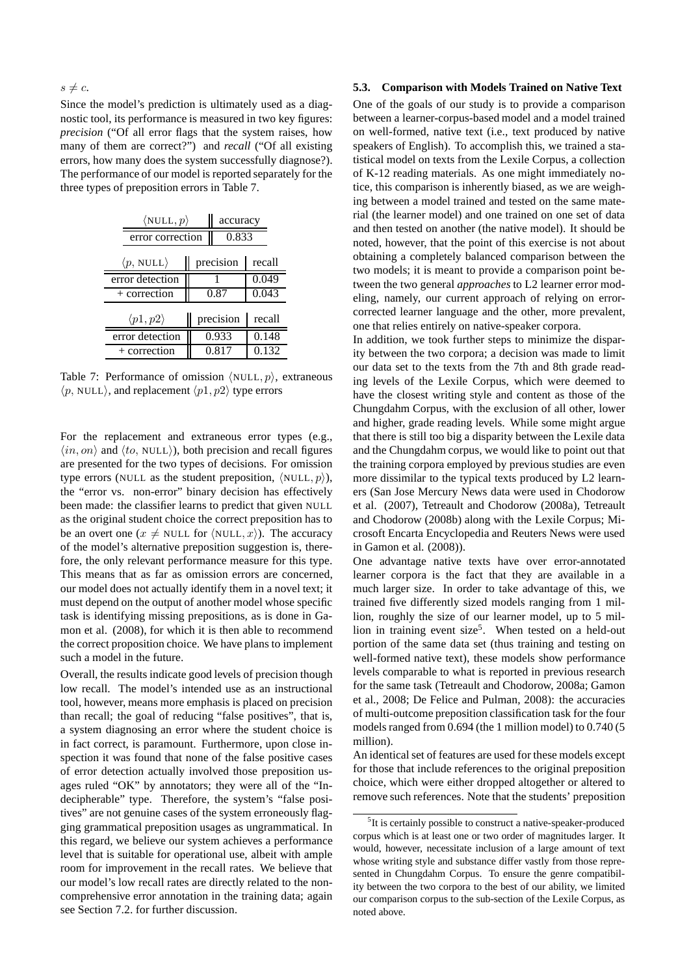Since the model's prediction is ultimately used as a diagnostic tool, its performance is measured in two key figures: *precision* ("Of all error flags that the system raises, how many of them are correct?") and *recall* ("Of all existing errors, how many does the system successfully diagnose?). The performance of our model is reported separately for the three types of preposition errors in Table 7.

|                                  | $\langle \texttt{NULL}, p \rangle$ |           |        |  |
|----------------------------------|------------------------------------|-----------|--------|--|
|                                  | error correction                   |           | 0.833  |  |
| $\langle p, \text{NULL} \rangle$ | precision                          |           |        |  |
| error detection                  |                                    |           | 0.049  |  |
| + correction                     |                                    | 0.87      | 0.043  |  |
| $\langle p1,p2\rangle$           |                                    | precision | recall |  |
| error detection                  |                                    | 0.933     | 0.148  |  |
| $+$ correction                   |                                    | 0.817     | 0.132  |  |

Table 7: Performance of omission  $\langle \text{NULL}, p \rangle$ , extraneous  $\langle p, \text{NULL} \rangle$ , and replacement  $\langle p1, p2 \rangle$  type errors

For the replacement and extraneous error types (e.g.,  $\langle in, on \rangle$  and  $\langle to, \text{NULL} \rangle$ ), both precision and recall figures are presented for the two types of decisions. For omission type errors (NULL as the student preposition,  $\langle \text{NULL}, p \rangle$ ), the "error vs. non-error" binary decision has effectively been made: the classifier learns to predict that given NULL as the original student choice the correct preposition has to be an overt one ( $x \neq$  NULL for  $\langle$  NULL,  $x \rangle$ ). The accuracy of the model's alternative preposition suggestion is, therefore, the only relevant performance measure for this type. This means that as far as omission errors are concerned, our model does not actually identify them in a novel text; it must depend on the output of another model whose specific task is identifying missing prepositions, as is done in Gamon et al. (2008), for which it is then able to recommend the correct proposition choice. We have plans to implement such a model in the future.

Overall, the results indicate good levels of precision though low recall. The model's intended use as an instructional tool, however, means more emphasis is placed on precision than recall; the goal of reducing "false positives", that is, a system diagnosing an error where the student choice is in fact correct, is paramount. Furthermore, upon close inspection it was found that none of the false positive cases of error detection actually involved those preposition usages ruled "OK" by annotators; they were all of the "Indecipherable" type. Therefore, the system's "false positives" are not genuine cases of the system erroneously flagging grammatical preposition usages as ungrammatical. In this regard, we believe our system achieves a performance level that is suitable for operational use, albeit with ample room for improvement in the recall rates. We believe that our model's low recall rates are directly related to the noncomprehensive error annotation in the training data; again see Section 7.2. for further discussion.

#### **5.3. Comparison with Models Trained on Native Text**

One of the goals of our study is to provide a comparison between a learner-corpus-based model and a model trained on well-formed, native text (i.e., text produced by native speakers of English). To accomplish this, we trained a statistical model on texts from the Lexile Corpus, a collection of K-12 reading materials. As one might immediately notice, this comparison is inherently biased, as we are weighing between a model trained and tested on the same material (the learner model) and one trained on one set of data and then tested on another (the native model). It should be noted, however, that the point of this exercise is not about obtaining a completely balanced comparison between the two models; it is meant to provide a comparison point between the two general *approaches* to L2 learner error modeling, namely, our current approach of relying on errorcorrected learner language and the other, more prevalent, one that relies entirely on native-speaker corpora.

In addition, we took further steps to minimize the disparity between the two corpora; a decision was made to limit our data set to the texts from the 7th and 8th grade reading levels of the Lexile Corpus, which were deemed to have the closest writing style and content as those of the Chungdahm Corpus, with the exclusion of all other, lower and higher, grade reading levels. While some might argue that there is still too big a disparity between the Lexile data and the Chungdahm corpus, we would like to point out that the training corpora employed by previous studies are even more dissimilar to the typical texts produced by L2 learners (San Jose Mercury News data were used in Chodorow et al. (2007), Tetreault and Chodorow (2008a), Tetreault and Chodorow (2008b) along with the Lexile Corpus; Microsoft Encarta Encyclopedia and Reuters News were used in Gamon et al. (2008)).

One advantage native texts have over error-annotated learner corpora is the fact that they are available in a much larger size. In order to take advantage of this, we trained five differently sized models ranging from 1 million, roughly the size of our learner model, up to 5 million in training event size<sup>5</sup>. When tested on a held-out portion of the same data set (thus training and testing on well-formed native text), these models show performance levels comparable to what is reported in previous research for the same task (Tetreault and Chodorow, 2008a; Gamon et al., 2008; De Felice and Pulman, 2008): the accuracies of multi-outcome preposition classification task for the four models ranged from 0.694 (the 1 million model) to 0.740 (5 million).

An identical set of features are used for these models except for those that include references to the original preposition choice, which were either dropped altogether or altered to remove such references. Note that the students' preposition

<sup>&</sup>lt;sup>5</sup>It is certainly possible to construct a native-speaker-produced corpus which is at least one or two order of magnitudes larger. It would, however, necessitate inclusion of a large amount of text whose writing style and substance differ vastly from those represented in Chungdahm Corpus. To ensure the genre compatibility between the two corpora to the best of our ability, we limited our comparison corpus to the sub-section of the Lexile Corpus, as noted above.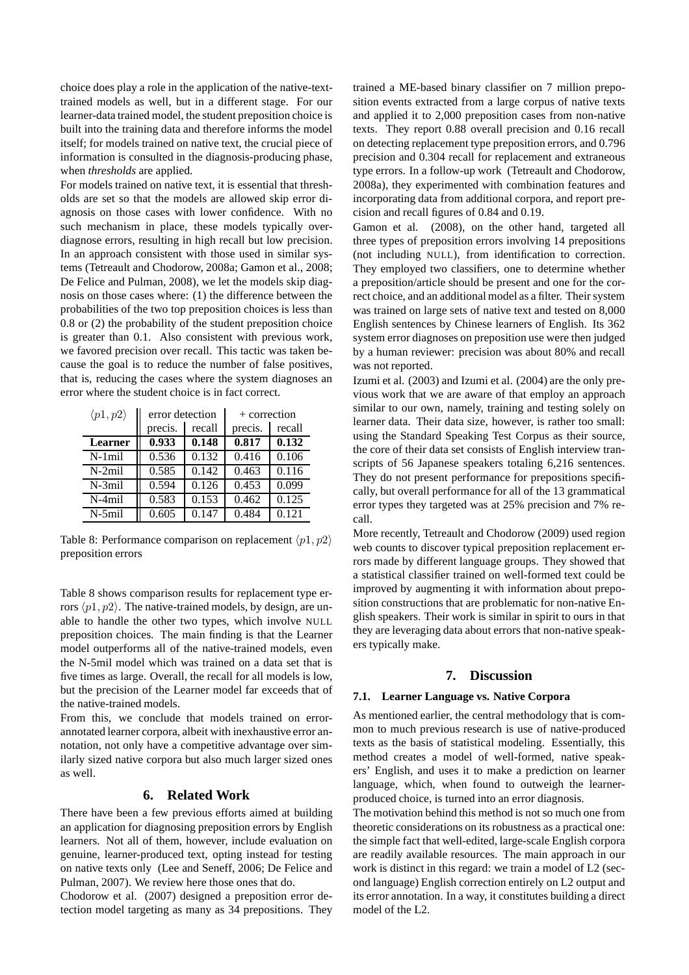choice does play a role in the application of the native-texttrained models as well, but in a different stage. For our learner-data trained model, the student preposition choice is built into the training data and therefore informs the model itself; for models trained on native text, the crucial piece of information is consulted in the diagnosis-producing phase, when *thresholds* are applied.

For models trained on native text, it is essential that thresholds are set so that the models are allowed skip error diagnosis on those cases with lower confidence. With no such mechanism in place, these models typically overdiagnose errors, resulting in high recall but low precision. In an approach consistent with those used in similar systems (Tetreault and Chodorow, 2008a; Gamon et al., 2008; De Felice and Pulman, 2008), we let the models skip diagnosis on those cases where: (1) the difference between the probabilities of the two top preposition choices is less than 0.8 or (2) the probability of the student preposition choice is greater than 0.1. Also consistent with previous work, we favored precision over recall. This tactic was taken because the goal is to reduce the number of false positives, that is, reducing the cases where the system diagnoses an error where the student choice is in fact correct.

| $\langle p1,p2\rangle$ | error detection   |       | $+$ correction |        |
|------------------------|-------------------|-------|----------------|--------|
|                        | precis.<br>recall |       | precis.        | recall |
| Learner                | 0.933             | 0.148 | 0.817          | 0.132  |
| $N-1$ mil              | 0.536             | 0.132 | 0.416          | 0.106  |
| $N-2$ mil              | 0.585             | 0.142 | 0.463          | 0.116  |
| $N-3$ mil              | 0.594             | 0.126 | 0.453          | 0.099  |
| N-4mil                 | 0.583             | 0.153 | 0.462          | 0.125  |
| N-5mil                 | 0.605             | 0.147 | 0.484          | 0.121  |

Table 8: Performance comparison on replacement  $\langle p1, p2 \rangle$ preposition errors

Table 8 shows comparison results for replacement type errors  $\langle p1, p2 \rangle$ . The native-trained models, by design, are unable to handle the other two types, which involve NULL preposition choices. The main finding is that the Learner model outperforms all of the native-trained models, even the N-5mil model which was trained on a data set that is five times as large. Overall, the recall for all models is low, but the precision of the Learner model far exceeds that of the native-trained models.

From this, we conclude that models trained on errorannotated learner corpora, albeit with inexhaustive error annotation, not only have a competitive advantage over similarly sized native corpora but also much larger sized ones as well.

# **6. Related Work**

There have been a few previous efforts aimed at building an application for diagnosing preposition errors by English learners. Not all of them, however, include evaluation on genuine, learner-produced text, opting instead for testing on native texts only (Lee and Seneff, 2006; De Felice and Pulman, 2007). We review here those ones that do.

Chodorow et al. (2007) designed a preposition error detection model targeting as many as 34 prepositions. They trained a ME-based binary classifier on 7 million preposition events extracted from a large corpus of native texts and applied it to 2,000 preposition cases from non-native texts. They report 0.88 overall precision and 0.16 recall on detecting replacement type preposition errors, and 0.796 precision and 0.304 recall for replacement and extraneous type errors. In a follow-up work (Tetreault and Chodorow, 2008a), they experimented with combination features and incorporating data from additional corpora, and report precision and recall figures of 0.84 and 0.19.

Gamon et al. (2008), on the other hand, targeted all three types of preposition errors involving 14 prepositions (not including NULL), from identification to correction. They employed two classifiers, one to determine whether a preposition/article should be present and one for the correct choice, and an additional model as a filter. Their system was trained on large sets of native text and tested on 8,000 English sentences by Chinese learners of English. Its 362 system error diagnoses on preposition use were then judged by a human reviewer: precision was about 80% and recall was not reported.

Izumi et al. (2003) and Izumi et al. (2004) are the only previous work that we are aware of that employ an approach similar to our own, namely, training and testing solely on learner data. Their data size, however, is rather too small: using the Standard Speaking Test Corpus as their source, the core of their data set consists of English interview transcripts of 56 Japanese speakers totaling 6,216 sentences. They do not present performance for prepositions specifically, but overall performance for all of the 13 grammatical error types they targeted was at 25% precision and 7% recall.

More recently, Tetreault and Chodorow (2009) used region web counts to discover typical preposition replacement errors made by different language groups. They showed that a statistical classifier trained on well-formed text could be improved by augmenting it with information about preposition constructions that are problematic for non-native English speakers. Their work is similar in spirit to ours in that they are leveraging data about errors that non-native speakers typically make.

### **7. Discussion**

#### **7.1. Learner Language vs. Native Corpora**

As mentioned earlier, the central methodology that is common to much previous research is use of native-produced texts as the basis of statistical modeling. Essentially, this method creates a model of well-formed, native speakers' English, and uses it to make a prediction on learner language, which, when found to outweigh the learnerproduced choice, is turned into an error diagnosis.

The motivation behind this method is not so much one from theoretic considerations on its robustness as a practical one: the simple fact that well-edited, large-scale English corpora are readily available resources. The main approach in our work is distinct in this regard: we train a model of L2 (second language) English correction entirely on L2 output and its error annotation. In a way, it constitutes building a direct model of the L2.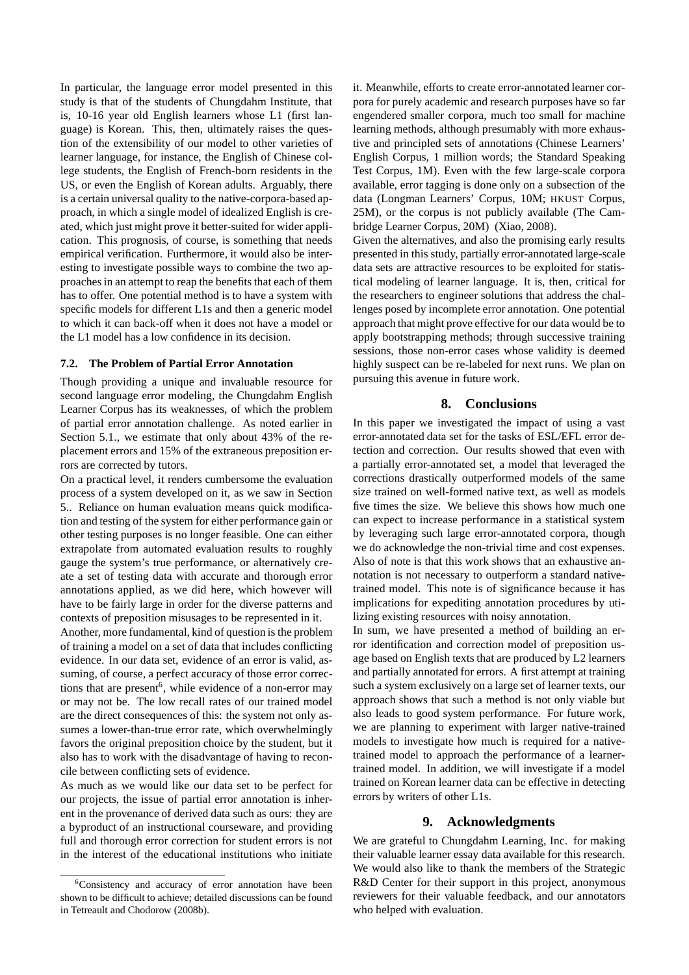In particular, the language error model presented in this study is that of the students of Chungdahm Institute, that is, 10-16 year old English learners whose L1 (first language) is Korean. This, then, ultimately raises the question of the extensibility of our model to other varieties of learner language, for instance, the English of Chinese college students, the English of French-born residents in the US, or even the English of Korean adults. Arguably, there is a certain universal quality to the native-corpora-based approach, in which a single model of idealized English is created, which just might prove it better-suited for wider application. This prognosis, of course, is something that needs empirical verification. Furthermore, it would also be interesting to investigate possible ways to combine the two approaches in an attempt to reap the benefits that each of them has to offer. One potential method is to have a system with specific models for different L1s and then a generic model to which it can back-off when it does not have a model or the L1 model has a low confidence in its decision.

#### **7.2. The Problem of Partial Error Annotation**

Though providing a unique and invaluable resource for second language error modeling, the Chungdahm English Learner Corpus has its weaknesses, of which the problem of partial error annotation challenge. As noted earlier in Section 5.1., we estimate that only about 43% of the replacement errors and 15% of the extraneous preposition errors are corrected by tutors.

On a practical level, it renders cumbersome the evaluation process of a system developed on it, as we saw in Section 5.. Reliance on human evaluation means quick modification and testing of the system for either performance gain or other testing purposes is no longer feasible. One can either extrapolate from automated evaluation results to roughly gauge the system's true performance, or alternatively create a set of testing data with accurate and thorough error annotations applied, as we did here, which however will have to be fairly large in order for the diverse patterns and contexts of preposition misusages to be represented in it.

Another, more fundamental, kind of question is the problem of training a model on a set of data that includes conflicting evidence. In our data set, evidence of an error is valid, assuming, of course, a perfect accuracy of those error corrections that are present<sup>6</sup>, while evidence of a non-error may or may not be. The low recall rates of our trained model are the direct consequences of this: the system not only assumes a lower-than-true error rate, which overwhelmingly favors the original preposition choice by the student, but it also has to work with the disadvantage of having to reconcile between conflicting sets of evidence.

As much as we would like our data set to be perfect for our projects, the issue of partial error annotation is inherent in the provenance of derived data such as ours: they are a byproduct of an instructional courseware, and providing full and thorough error correction for student errors is not in the interest of the educational institutions who initiate

it. Meanwhile, efforts to create error-annotated learner corpora for purely academic and research purposes have so far engendered smaller corpora, much too small for machine learning methods, although presumably with more exhaustive and principled sets of annotations (Chinese Learners' English Corpus, 1 million words; the Standard Speaking Test Corpus, 1M). Even with the few large-scale corpora available, error tagging is done only on a subsection of the data (Longman Learners' Corpus, 10M; HKUST Corpus, 25M), or the corpus is not publicly available (The Cambridge Learner Corpus, 20M) (Xiao, 2008).

Given the alternatives, and also the promising early results presented in this study, partially error-annotated large-scale data sets are attractive resources to be exploited for statistical modeling of learner language. It is, then, critical for the researchers to engineer solutions that address the challenges posed by incomplete error annotation. One potential approach that might prove effective for our data would be to apply bootstrapping methods; through successive training sessions, those non-error cases whose validity is deemed highly suspect can be re-labeled for next runs. We plan on pursuing this avenue in future work.

#### **8. Conclusions**

In this paper we investigated the impact of using a vast error-annotated data set for the tasks of ESL/EFL error detection and correction. Our results showed that even with a partially error-annotated set, a model that leveraged the corrections drastically outperformed models of the same size trained on well-formed native text, as well as models five times the size. We believe this shows how much one can expect to increase performance in a statistical system by leveraging such large error-annotated corpora, though we do acknowledge the non-trivial time and cost expenses. Also of note is that this work shows that an exhaustive annotation is not necessary to outperform a standard nativetrained model. This note is of significance because it has implications for expediting annotation procedures by utilizing existing resources with noisy annotation.

In sum, we have presented a method of building an error identification and correction model of preposition usage based on English texts that are produced by L2 learners and partially annotated for errors. A first attempt at training such a system exclusively on a large set of learner texts, our approach shows that such a method is not only viable but also leads to good system performance. For future work, we are planning to experiment with larger native-trained models to investigate how much is required for a nativetrained model to approach the performance of a learnertrained model. In addition, we will investigate if a model trained on Korean learner data can be effective in detecting errors by writers of other L1s.

#### **9. Acknowledgments**

We are grateful to Chungdahm Learning, Inc. for making their valuable learner essay data available for this research. We would also like to thank the members of the Strategic R&D Center for their support in this project, anonymous reviewers for their valuable feedback, and our annotators who helped with evaluation.

<sup>&</sup>lt;sup>6</sup>Consistency and accuracy of error annotation have been shown to be difficult to achieve; detailed discussions can be found in Tetreault and Chodorow (2008b).